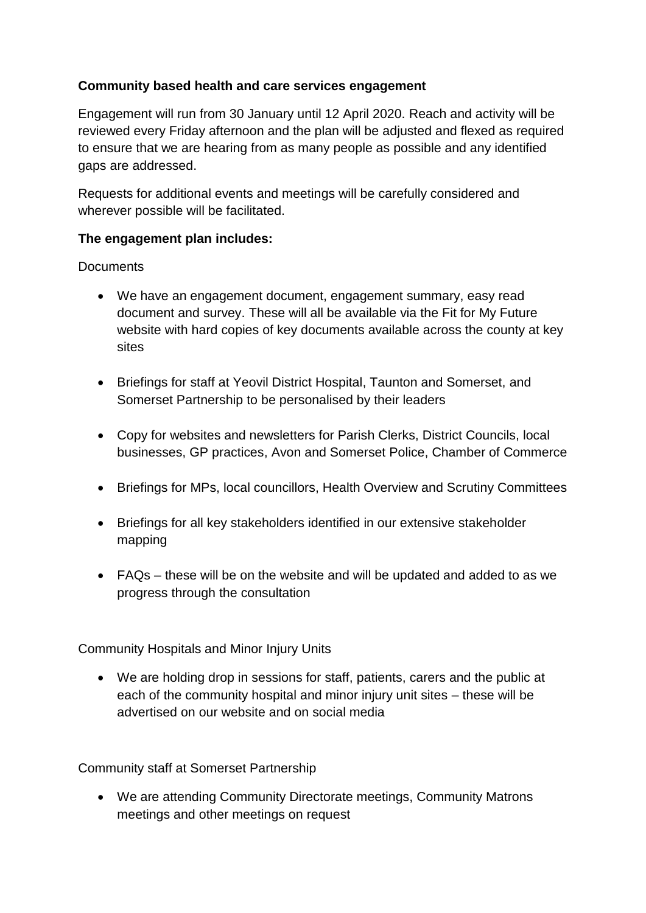# **Community based health and care services engagement**

Engagement will run from 30 January until 12 April 2020. Reach and activity will be reviewed every Friday afternoon and the plan will be adjusted and flexed as required to ensure that we are hearing from as many people as possible and any identified gaps are addressed.

Requests for additional events and meetings will be carefully considered and wherever possible will be facilitated.

### **The engagement plan includes:**

### **Documents**

- We have an engagement document, engagement summary, easy read document and survey. These will all be available via the Fit for My Future website with hard copies of key documents available across the county at key sites
- Briefings for staff at Yeovil District Hospital, Taunton and Somerset, and Somerset Partnership to be personalised by their leaders
- Copy for websites and newsletters for Parish Clerks, District Councils, local businesses, GP practices, Avon and Somerset Police, Chamber of Commerce
- Briefings for MPs, local councillors, Health Overview and Scrutiny Committees
- Briefings for all key stakeholders identified in our extensive stakeholder mapping
- FAQs these will be on the website and will be updated and added to as we progress through the consultation

Community Hospitals and Minor Injury Units

 We are holding drop in sessions for staff, patients, carers and the public at each of the community hospital and minor injury unit sites – these will be advertised on our website and on social media

Community staff at Somerset Partnership

 We are attending Community Directorate meetings, Community Matrons meetings and other meetings on request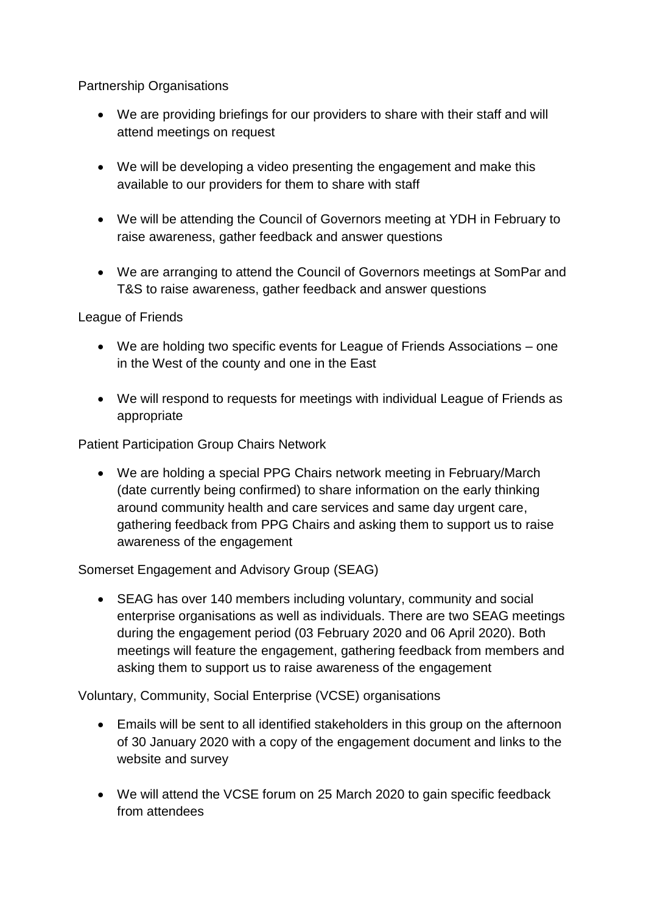Partnership Organisations

- We are providing briefings for our providers to share with their staff and will attend meetings on request
- We will be developing a video presenting the engagement and make this available to our providers for them to share with staff
- We will be attending the Council of Governors meeting at YDH in February to raise awareness, gather feedback and answer questions
- We are arranging to attend the Council of Governors meetings at SomPar and T&S to raise awareness, gather feedback and answer questions

# League of Friends

- We are holding two specific events for League of Friends Associations one in the West of the county and one in the East
- We will respond to requests for meetings with individual League of Friends as appropriate

Patient Participation Group Chairs Network

 We are holding a special PPG Chairs network meeting in February/March (date currently being confirmed) to share information on the early thinking around community health and care services and same day urgent care, gathering feedback from PPG Chairs and asking them to support us to raise awareness of the engagement

Somerset Engagement and Advisory Group (SEAG)

• SEAG has over 140 members including voluntary, community and social enterprise organisations as well as individuals. There are two SEAG meetings during the engagement period (03 February 2020 and 06 April 2020). Both meetings will feature the engagement, gathering feedback from members and asking them to support us to raise awareness of the engagement

Voluntary, Community, Social Enterprise (VCSE) organisations

- Emails will be sent to all identified stakeholders in this group on the afternoon of 30 January 2020 with a copy of the engagement document and links to the website and survey
- We will attend the VCSE forum on 25 March 2020 to gain specific feedback from attendees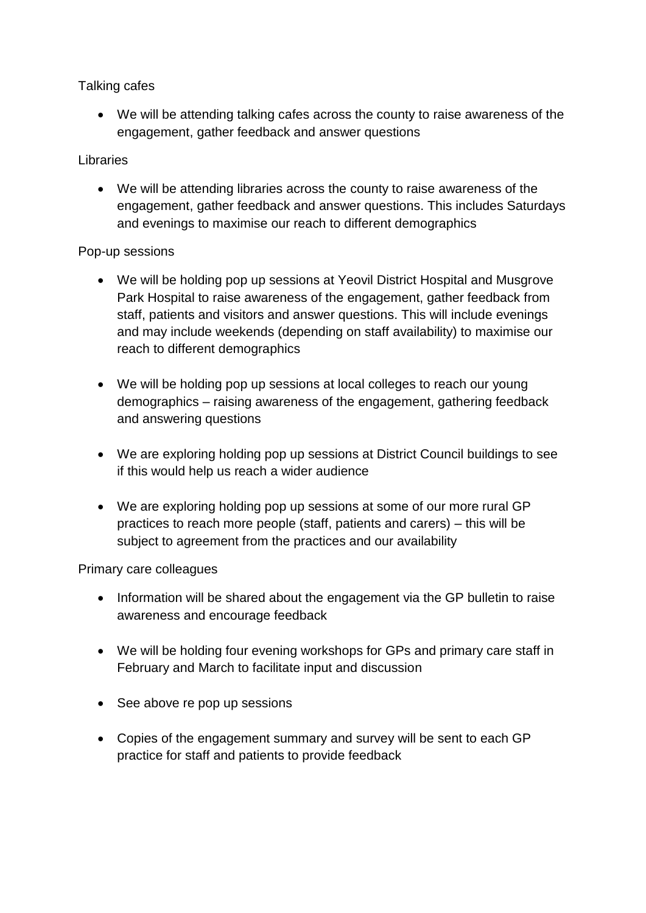Talking cafes

 We will be attending talking cafes across the county to raise awareness of the engagement, gather feedback and answer questions

## Libraries

 We will be attending libraries across the county to raise awareness of the engagement, gather feedback and answer questions. This includes Saturdays and evenings to maximise our reach to different demographics

# Pop-up sessions

- We will be holding pop up sessions at Yeovil District Hospital and Musgrove Park Hospital to raise awareness of the engagement, gather feedback from staff, patients and visitors and answer questions. This will include evenings and may include weekends (depending on staff availability) to maximise our reach to different demographics
- We will be holding pop up sessions at local colleges to reach our young demographics – raising awareness of the engagement, gathering feedback and answering questions
- We are exploring holding pop up sessions at District Council buildings to see if this would help us reach a wider audience
- We are exploring holding pop up sessions at some of our more rural GP practices to reach more people (staff, patients and carers) – this will be subject to agreement from the practices and our availability

Primary care colleagues

- Information will be shared about the engagement via the GP bulletin to raise awareness and encourage feedback
- We will be holding four evening workshops for GPs and primary care staff in February and March to facilitate input and discussion
- See above re pop up sessions
- Copies of the engagement summary and survey will be sent to each GP practice for staff and patients to provide feedback